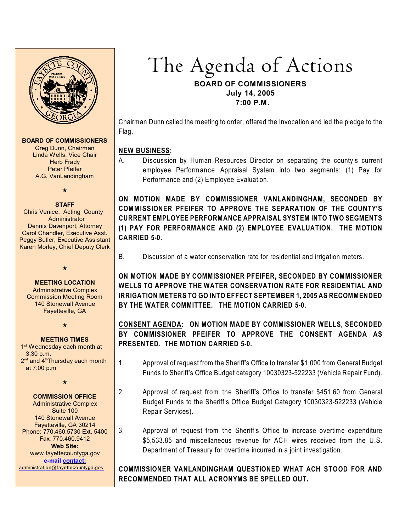

#### **BOARD OF COMMISSIONERS**

Greg Dunn, Chairman Linda Wells, Vice Chair Herb Frady Peter Pfeifer A.G. VanLandingham

## $\star$

**STAFF** Chris Venice, Acting County Administrator Dennis Davenport, Attorney Carol Chandler, Executive Asst. Peggy Butler, Executive Assistant Karen Morley, Chief Deputy Clerk

#### **MEETING LOCATION**

 $\star$ 

Administrative Complex Commission Meeting Room 140 Stonewall Avenue Fayetteville, GA

 $\star$ 

#### **MEETING TIMES**

1<sup>st</sup> Wednesday each month at 3:30 p.m.  $2<sup>nd</sup>$  and  $4<sup>th</sup>$ Thursday each month at 7:00 p.m

 $\star$ 

#### **COMMISSION OFFICE**

Administrative Complex Suite 100 140 Stonewall Avenue Fayetteville, GA 30214 Phone: 770.460.5730 Ext. 5400 Fax: 770.460.9412 **Web Site:** [www.fayettecountyga.gov](http://www.admin.co.fayette.ga.us) **e-mail [contact:](mailto:administration@fayettecountyga.gov)**

[administration@fayettecountyga.gov](mailto:administration@fayettecountyga.gov)

# The Agenda of Actions **BOARD OF COMMISSIONERS July 14, 2005 7:00 P.M.**

Chairman Dunn called the meeting to order, offered the Invocation and led the pledge to the Flag.

## **NEW BUSINESS:**

A. Discussion by Human Resources Director on separating the county's current employee Performance Appraisal System into two segments: (1) Pay for Performance and (2) Employee Evaluation.

**ON MOTION MADE BY COMMISSIONER VANLANDINGHAM, SECONDED BY COMMISSIONER PFEIFER TO APPROVE THE SEPARATION OF THE COUNTY'S CURRENT EMPLOYEE PERFORMANCE APPRAISAL SYSTEM INTO TWO SEGMENTS (1) PAY FOR PERFORMANCE AND (2) EMPLOYEE EVALUATION. THE MOTION CARRIED 5-0.**

B. Discussion of a water conservation rate for residential and irrigation meters.

**ON MOTION MADE BY COMMISSIONER PFEIFER, SECONDED BY COMMISSIONER WELLS TO APPROVE THE WATER CONSERVATION RATE FOR RESIDENTIAL AND IRRIGATION METERS TO GO INTO EFFECT SEPTEMBER 1, 2005 AS RECOMMENDED BY THE WATER COMMITTEE. THE MOTION CARRIED 5-0.**

# **CONSENT AGENDA: ON MOTION MADE BY COMMISSIONER WELLS, SECONDED BY COMMISSIONER PFEIFER TO APPROVE THE CONSENT AGENDA AS PRESENTED. THE MOTION CARRIED 5-0.**

- 1. Approval of request from the Sheriff's Office to transfer \$1,000 from General Budget Funds to Sheriff's Office Budget category 10030323-522233 (Vehicle Repair Fund).
- 2. Approval of request from the Sheriff's Office to transfer \$451.60 from General Budget Funds to the Sheriff's Office Budget Category 10030323-522233 (Vehicle Repair Services).
- 3. Approval of request from the Sheriff's Office to increase overtime expenditure \$5,533.85 and miscellaneous revenue for ACH wires received from the U.S. Department of Treasury for overtime incurred in a joint investigation.

## **COMMISSIONER VANLANDINGHAM QUESTIONED WHAT ACH STOOD FOR AND RECOMMENDED THAT ALL ACRONYMS BE SPELLED OUT.**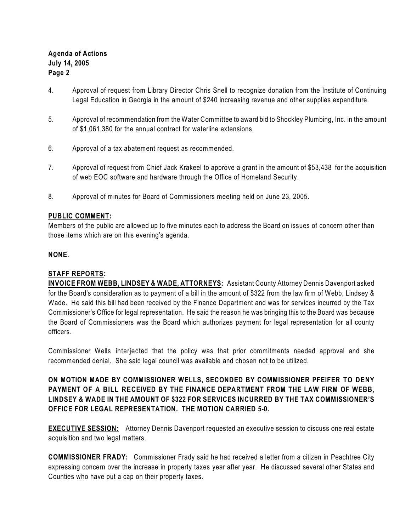## **Agenda of Actions July 14, 2005 Page 2**

- 4. Approval of request from Library Director Chris Snell to recognize donation from the Institute of Continuing Legal Education in Georgia in the amount of \$240 increasing revenue and other supplies expenditure.
- 5. Approval of recommendation from the Water Committee to award bid to Shockley Plumbing, Inc. in the amount of \$1,061,380 for the annual contract for waterline extensions.
- 6. Approval of a tax abatement request as recommended.
- 7. Approval of request from Chief Jack Krakeel to approve a grant in the amount of \$53,438 for the acquisition of web EOC software and hardware through the Office of Homeland Security.
- 8. Approval of minutes for Board of Commissioners meeting held on June 23, 2005.

### **PUBLIC COMMENT:**

Members of the public are allowed up to five minutes each to address the Board on issues of concern other than those items which are on this evening's agenda.

#### **NONE.**

#### **STAFF REPORTS:**

**INVOICE FROM WEBB, LINDSEY & WADE, ATTORNEYS:** Assistant County Attorney Dennis Davenport asked for the Board's consideration as to payment of a bill in the amount of \$322 from the law firm of Webb, Lindsey & Wade. He said this bill had been received by the Finance Department and was for services incurred by the Tax Commissioner's Office for legal representation. He said the reason he was bringing this to the Board was because the Board of Commissioners was the Board which authorizes payment for legal representation for all county officers.

Commissioner Wells interjected that the policy was that prior commitments needed approval and she recommended denial. She said legal council was available and chosen not to be utilized.

**ON MOTION MADE BY COMMISSIONER WELLS, SECONDED BY COMMISSIONER PFEIFER TO DENY PAYMENT OF A BILL RECEIVED BY THE FINANCE DEPARTMENT FROM THE LAW FIRM OF WEBB, LINDSEY & WADE IN THE AMOUNT OF \$322 FOR SERVICES INCURRED BY THE TAX COMMISSIONER'S OFFICE FOR LEGAL REPRESENTATION. THE MOTION CARRIED 5-0.** 

**EXECUTIVE SESSION:** Attorney Dennis Davenport requested an executive session to discuss one real estate acquisition and two legal matters.

**COMMISSIONER FRADY:** Commissioner Frady said he had received a letter from a citizen in Peachtree City expressing concern over the increase in property taxes year after year. He discussed several other States and Counties who have put a cap on their property taxes.